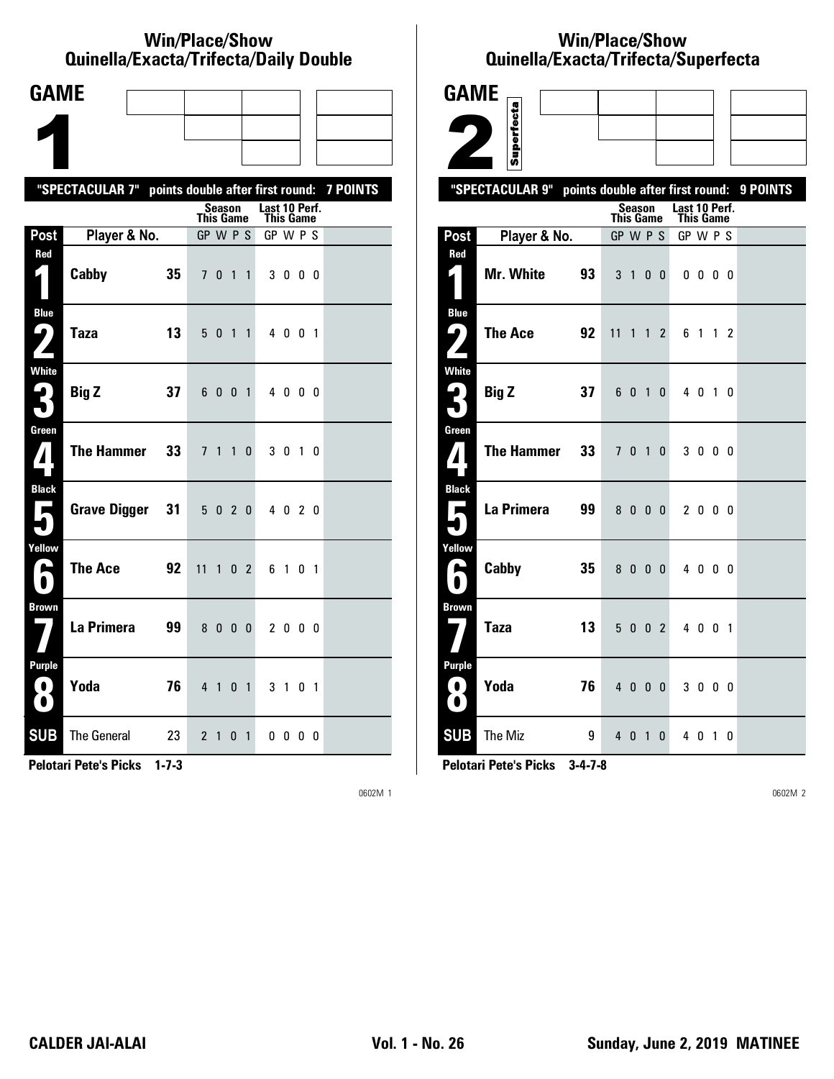### **Win/Place/Show Qui nel la/Exacta/Tri fecta/Daily Dou ble**

| <b>GAME</b>                              |                                                           |    |              |         |                |              |                            |         |    |  |
|------------------------------------------|-----------------------------------------------------------|----|--------------|---------|----------------|--------------|----------------------------|---------|----|--|
|                                          |                                                           |    |              |         |                |              |                            |         |    |  |
|                                          |                                                           |    |              |         |                |              |                            |         |    |  |
|                                          | "SPECTACULAR 7" points double after first round: 7 POINTS |    |              |         |                |              |                            |         |    |  |
|                                          |                                                           |    | This Game    | Season  |                |              | Last 10 Perf.<br>This Game |         |    |  |
| Post                                     | Player & No.                                              |    | GP W P S     |         |                |              | GP W P S                   |         |    |  |
| Red<br>$\blacklozenge$                   | Cabby                                                     | 35 |              | 7 0 1 1 |                |              |                            | 3000    |    |  |
| <b>Blue</b><br>( ما<br>$\mathbf{Z}$      | <b>Taza</b>                                               | 13 | 50           |         | $1\quad1$      |              |                            | 4 0 0 1 |    |  |
| <b>White</b><br>3                        | <b>Big Z</b>                                              | 37 |              | 6 0 0 1 |                |              |                            | 4 0 0 0 |    |  |
| Green<br>$\mathbf{V}$                    | <b>The Hammer</b>                                         | 33 |              | 7 1 1   |                | $\mathbf{0}$ |                            | 3 0 1 0 |    |  |
| <b>Black</b><br>$\overline{\phantom{a}}$ | <b>Grave Digger</b>                                       | 31 |              | 5 0 2 0 |                |              |                            | 4 0 2 0 |    |  |
| Yellow<br>$\bullet$                      | <b>The Ace</b>                                            | 92 | $11 \quad 1$ |         | 0 <sub>2</sub> |              |                            | 6 1 0 1 |    |  |
| <b>Brown</b>                             | La Primera                                                | 99 |              | 8000    |                |              |                            | 2000    |    |  |
| <b>Purple</b><br>$\mathbf{O}$<br>O       | Yoda                                                      | 76 |              | 4 1 0 1 |                |              |                            | 3 1 0 1 |    |  |
| <b>SUB</b>                               | <b>The General</b>                                        | 23 | 2            | 1       | 0              | 1            |                            | 00      | 00 |  |

**Pelotari Pete's Picks 1-7-3**

0602M 1

# **Win/Place/Show Qui nel la/Exacta/Tri fecta/Super fecta**

| <b>GAME</b>                            |                                                     |   |                  |               |                |                |               |                         |                |          |
|----------------------------------------|-----------------------------------------------------|---|------------------|---------------|----------------|----------------|---------------|-------------------------|----------------|----------|
|                                        | Superfecta                                          |   |                  |               |                |                |               |                         |                |          |
|                                        |                                                     |   |                  |               |                |                |               |                         |                |          |
|                                        |                                                     |   |                  |               |                |                |               |                         |                |          |
|                                        | "SPECTACULAR 9"<br>points double after first round: |   |                  | <b>Season</b> |                |                | Last 10 Perf. |                         |                | 9 POINTS |
|                                        |                                                     |   | <b>This Game</b> |               |                |                | This Game     |                         |                |          |
| Post<br>Red                            | Player & No.                                        |   | GP W P S         |               |                |                | GP W P S      |                         |                |          |
|                                        | Mr. White<br>93                                     |   |                  | 3 1           | $\mathbf{0}$   | $\bf{0}$       |               | $0\,$ $0\,$ $0\,$ $0\,$ |                |          |
| <b>Blue</b><br>ر ما                    | <b>The Ace</b><br>92                                |   | 11               | 1             | $\mathbf{1}$   | $\overline{2}$ | 6             | $\overline{1}$          | 1 <sub>2</sub> |          |
| <b>White</b><br>$\mathbf{L}_\parallel$ | <b>Big Z</b><br>37                                  |   |                  | 601           |                | 0              |               | 4 0 1                   | - 0            |          |
| Green<br>$\bf{7}$                      | <b>The Hammer</b><br>33                             |   | 7 <sup>7</sup>   |               | 0 <sub>1</sub> | 0              |               | 3000                    |                |          |
| <b>Black</b><br>П                      | La Primera<br>99                                    |   |                  | 8000          |                |                |               | 2000                    |                |          |
| Yellow<br>r.                           | Cabby<br>35                                         |   |                  | 8000          |                |                |               | 4000                    |                |          |
| <b>Brown</b>                           | <b>Taza</b><br>13                                   |   |                  | 5 0 0 2       |                |                |               | 4 0 0 1                 |                |          |
| <b>Purple</b><br>0<br>$\bullet$        | Yoda<br>76                                          |   |                  | 4 0 0 0       |                |                |               | 3000                    |                |          |
| <b>SUB</b>                             | The Miz                                             | 9 |                  | 4 0 1         |                | $\mathbf{0}$   |               | 4 0 1 0                 |                |          |

**Pelotari Pete's Picks 3-4-7-8**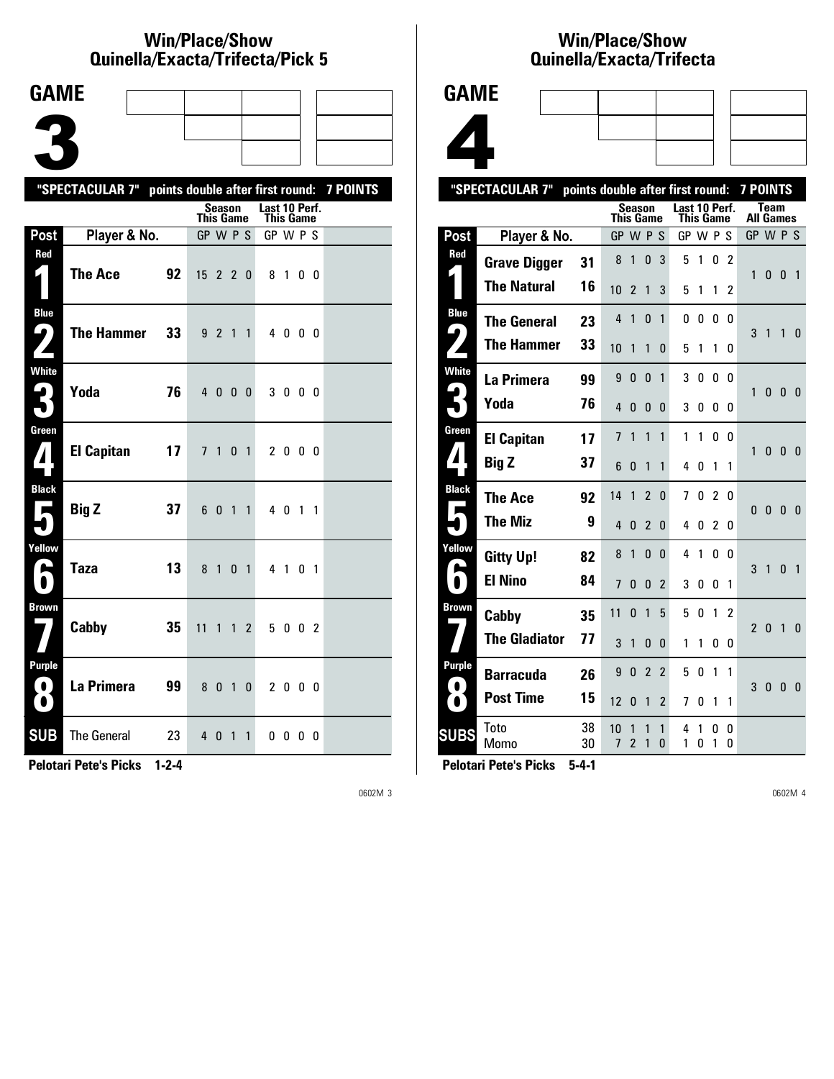### **Win/Place/Show Qui nel la/Exacta/Tri fecta/Pick 5**

| <b>GAME</b>                                  |                                                           |                                     |                |               |                |  |
|----------------------------------------------|-----------------------------------------------------------|-------------------------------------|----------------|---------------|----------------|--|
|                                              |                                                           |                                     |                |               |                |  |
|                                              |                                                           |                                     |                |               |                |  |
|                                              |                                                           |                                     |                |               |                |  |
|                                              | "SPECTACULAR 7" points double after first round: 7 POINTS | <b>Season</b>                       |                | Last 10 Perf. |                |  |
|                                              |                                                           | <b>This Game</b>                    |                | This Game     |                |  |
| Post<br>Red                                  | Player & No.                                              | GP W P S                            |                | GP W P S      |                |  |
| $\zeta$                                      | <b>The Ace</b><br>92                                      | $15$ 2 2 0                          |                | 81            | 0 0            |  |
| <b>Blue</b><br>9<br>$\mathbf{Z}$             | <b>The Hammer</b><br>33                                   | 921                                 | $\mathbf{1}$   | 4 0 0 0       |                |  |
| <b>White</b><br>$\boldsymbol{\zeta}$         | Yoda<br>76                                                | 40<br>0 <sub>0</sub>                |                | 3000          |                |  |
| Green<br>$\mathbf{Z}$                        | <b>El Capitan</b><br>17                                   | 7 <sub>1</sub>                      | 0 <sub>1</sub> | 2000          |                |  |
| <b>Black</b><br><b>Ta</b>                    | <b>Big Z</b><br>37                                        | 60<br>$\overline{1}$                | $\mathbf{1}$   | 4 0 1 1       |                |  |
| Yellow<br>ь                                  | 13<br><b>Taza</b>                                         | 8<br>$\overline{1}$<br>$\mathbf{0}$ | $\overline{1}$ | 4 1           | 0 <sub>1</sub> |  |
| <b>Brown</b>                                 | Cabby<br>35                                               | 11<br>$\mathbf{1}$<br>$\mathbf{1}$  | $\overline{2}$ | 5 0 0 2       |                |  |
| <b>Purple</b><br>$\blacksquare$<br>$\bullet$ | La Primera<br>99                                          | 80<br>$\overline{1}$                | 0              | 2000          |                |  |
| <b>SUB</b>                                   | <b>The General</b><br>23                                  | $4\quad0$<br>$\overline{1}$         | $\mathbf{1}$   | $0\,0\,0\,0$  |                |  |

**Pelotari Pete's Picks 1-2-4**

0602M 3

## **Win/Place/Show Qui nel la/Exacta/Tri fecta**



|                   | "SPECTACULAR 7"      | points double after first round: |           |                     |                          |                |                            |        |                |          | 7 POINTS         |              |                |                |
|-------------------|----------------------|----------------------------------|-----------|---------------------|--------------------------|----------------|----------------------------|--------|----------------|----------|------------------|--------------|----------------|----------------|
|                   |                      |                                  | This Game | <b>Season</b>       |                          |                | Last 10 Perf.<br>This Game |        |                |          | <b>All Games</b> | Team         |                |                |
| Post              | Player & No.         |                                  | <b>GP</b> |                     | <b>WPS</b>               |                | GP W P S                   |        |                |          | GP W P S         |              |                |                |
| Red               | <b>Grave Digger</b>  | 31                               | 8         | 1                   | 0                        | 3              | 5                          | 1      | 0              | 2        | 1                | 0            | $\mathbf{0}$   | $\overline{1}$ |
|                   | <b>The Natural</b>   | 16                               | 10        | $\overline{2}$      | 1                        | 3              | 5                          | 1      | 1              | 2        |                  |              |                |                |
| <b>Blue</b><br>9  | <b>The General</b>   | 23                               | 4         | 1                   | 0                        | 1              | 0                          | 0      | 0              | 0        | 3                | 1            | 1              | $\mathbf{0}$   |
|                   | <b>The Hammer</b>    | 33                               | 10        | 1                   | 1                        | 0              | 5                          | 1      | 1              | 0        |                  |              |                |                |
| <b>White</b>      | La Primera           | 99                               | 9         | 0                   | 0                        | 1              | 3                          | 0      | 0              | 0        | 1                | 0            | $\mathbf{0}$   | - 0            |
|                   | Yoda                 | 76                               | 4         | 0                   | 0                        | 0              | 3                          | 0      | 0              | 0        |                  |              |                |                |
| Green             | <b>El Capitan</b>    | 17                               | 7         | 1                   | 1                        | 1              | 1                          | 1      | $\Omega$       | $\Omega$ | 1                | 0            | $\bf{0}$       | -0             |
| 7                 | Big Z                | 37                               | 6         | 0                   | 1                        | 1              | 4                          | 0      | 1              | 1        |                  |              |                |                |
| <b>Black</b><br>Р | The Ace              | 92                               | 14        | 1                   | $\overline{\phantom{a}}$ | $\Omega$       | 7                          | 0      | 2              | 0        | 0                | $\pmb{0}$    | $\mathbf{0}$   | $\mathbf{0}$   |
|                   | The Miz              | 9                                | 4         | 0                   | 2                        | 0              | 4                          | 0      | $\overline{2}$ | 0        |                  |              |                |                |
| Yellow            | <b>Gitty Up!</b>     | 82                               | 8         | 1                   | 0                        | 0              | 4                          | 1      | 0              | 0        | 3                | $\mathbf{1}$ | $\mathbf{0}$   | $\overline{1}$ |
| N                 | <b>El Nino</b>       | 84                               | 7         | 0                   | 0                        | $\overline{2}$ | 3                          | 0      | 0              | 1        |                  |              |                |                |
| Brown             | Cabby                | 35                               | 11        | $\mathbf{0}$        | 1                        | 5              | 5                          | 0      | 1              | 2        | $\mathfrak{p}$   | 0            | $\overline{1}$ | 0              |
|                   | <b>The Gladiator</b> | 77                               | 3         | 1                   | 0                        | 0              | 1                          | 1      | 0              | 0        |                  |              |                |                |
| Purple            | <b>Barracuda</b>     | 26                               | 9         | $\mathbf{0}$        | $\overline{2}$           | $\overline{2}$ | 5                          | 0      | 1              | 1        | 3                | 0            | $\mathbf{0}$   | $\overline{0}$ |
| $\bullet$         | <b>Post Time</b>     | 15                               | 12        | 0                   | 1                        | $\overline{2}$ | 7                          | 0      | 1              | 1        |                  |              |                |                |
| <b>SUBS</b>       | Toto<br>Momo         | 38<br>30                         | 10<br>7   | 1<br>$\overline{2}$ | 1<br>1                   | 1<br>0         | 4<br>1                     | 1<br>0 | 0<br>1         | 0<br>0   |                  |              |                |                |
|                   |                      |                                  |           |                     |                          |                |                            |        |                |          |                  |              |                |                |

**Pelotari Pete's Picks 5-4-1**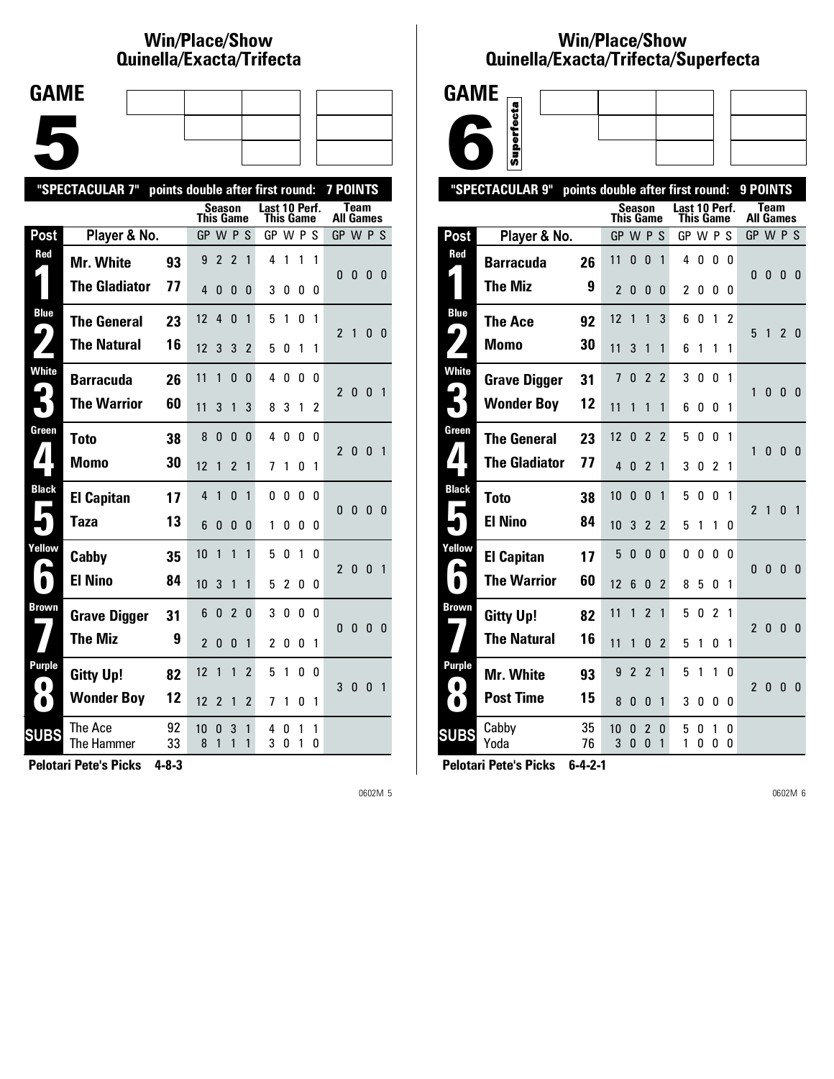# **Win/Place/Show Qui nel la/Exacta/Tri fecta**

| <b>GAME</b> |  |  |
|-------------|--|--|
|             |  |  |
|             |  |  |
|             |  |  |
|             |  |  |
|             |  |  |
|             |  |  |
|             |  |  |

|                                | "SPECTACULAR 7"       | points double after first round: |                |                |                |                          |                            |        |        |                | <b>7 POINTS</b>  |              |                |                |
|--------------------------------|-----------------------|----------------------------------|----------------|----------------|----------------|--------------------------|----------------------------|--------|--------|----------------|------------------|--------------|----------------|----------------|
|                                |                       |                                  | This Game      | Season         |                |                          | Last 10 Perf.<br>This Game |        |        |                | <b>All Games</b> | <b>Team</b>  |                |                |
| Post                           | Player & No.          |                                  | GP W P S       |                |                |                          | GP W P S                   |        |        |                | GP W P S         |              |                |                |
| Red                            | Mr. White             | 93                               | 9              | $\overline{2}$ | $\overline{2}$ | 1                        | 4                          | 1      | 1      | $\mathbf{1}$   | 0                | $\mathbf{0}$ | 0 <sub>0</sub> |                |
|                                | <b>The Gladiator</b>  | 77                               | 4              | 0              | 0              | 0                        | 3                          | 0      | 0      | 0              |                  |              |                |                |
| <b>Blue</b><br>$\blacklozenge$ | <b>The General</b>    | 23                               | 12             | $\overline{4}$ | 0              | 1                        | 5                          | 1      | 0      | 1              | $\overline{2}$   | 1            | 0 <sub>0</sub> |                |
|                                | <b>The Natural</b>    | 16                               | 12             | 3              | 3              | $\overline{2}$           | 5                          | 0      | 1      | 1              |                  |              |                |                |
| White                          | <b>Barracuda</b>      | 26                               | 11             | 1              | 0              | 0                        | 4                          | 0      | 0      | 0              | $\mathbf{2}$     | $\bf{0}$     | 0 <sub>1</sub> |                |
|                                | <b>The Warrior</b>    | 60                               | 11             | 3              | 1              | 3                        | 8                          | 3      | 1      | $\overline{2}$ |                  |              |                |                |
| Green                          | Toto                  | 38                               | 8              | 0              | $\mathbf{0}$   | 0                        | 4                          | 0      | 0      | 0              | $\overline{2}$   | $\mathbf{0}$ | $\mathbf{0}$   | $\overline{1}$ |
|                                | <b>Momo</b>           | 30                               | 12             | 1              | $\overline{2}$ | 1                        | 7                          | 1      | 0      | 1              |                  |              |                |                |
| <b>Black</b>                   | <b>El Capitan</b>     | 17                               | 4              | 1              | $\mathbf{0}$   | 1                        | 0                          | 0      | 0      | 0              | 0                | $\bf{0}$     | $\mathbf{0}$   | - 0            |
|                                | Taza                  | 13                               | 6              | 0              | 0              | 0                        | 1                          | O      | 0      | 0              |                  |              |                |                |
| Yellow                         | Cabby                 | 35                               | 10             | 1              | 1              | $\mathbf{1}$             | 5                          | 0      | 1      | n              | $\overline{2}$   | $\bf{0}$     | $\mathbf{0}$   | $\overline{1}$ |
| $\bullet$                      | <b>El Nino</b>        | 84                               | 10             | 3              | 1              | $\mathbf{1}$             | 5                          | 2      | 0      | 0              |                  |              |                |                |
| Brown                          | <b>Grave Digger</b>   | 31                               | 6              | $\mathbf{0}$   | $\overline{2}$ | 0                        | 3                          | 0      | 0      | 0              | 0                | $\mathbf{0}$ | $\mathbf{0}$   | 0              |
|                                | <b>The Miz</b>        | 9                                | $\overline{2}$ | 0              | $\mathbf{0}$   | $\mathbf{1}$             | 2                          | 0      | 0      | 1              |                  |              |                |                |
| Purple<br>$\bullet$            | <b>Gitty Up!</b>      | 82                               | 12             | 1              | 1              | $\overline{\phantom{a}}$ | 5                          | 1      | 0      | 0              | 3                | $\mathbf{0}$ | $\mathbf{0}$   | $\overline{1}$ |
| $\bullet$                      | <b>Wonder Boy</b>     | 12                               | 12             | $\overline{2}$ | 1              | 2                        | 7                          | 1      | 0      | 1              |                  |              |                |                |
| <b>SUBS</b>                    | The Ace<br>The Hammer | 92<br>33                         | 10<br>8        | 0<br>1         | 3<br>1         | 1<br>1                   | 4<br>3                     | n<br>0 | 1<br>1 | 1<br>0         |                  |              |                |                |

**Pelotari Pete's Picks 4-8-3**

0602M 5

### **Win/Place/Show Qui nel la/Exacta/Tri fecta/Super fecta**



|                                          | "SPECTACULAR 9"      | points double after first round: |                  |                |                     |                |                                   |        |                |               | 9 POINTS         |              |                |                |
|------------------------------------------|----------------------|----------------------------------|------------------|----------------|---------------------|----------------|-----------------------------------|--------|----------------|---------------|------------------|--------------|----------------|----------------|
|                                          |                      |                                  | <b>This Game</b> | <b>Season</b>  |                     |                | Last 10 Perf.<br><b>This Game</b> |        |                |               | <b>All Games</b> | <b>Team</b>  |                |                |
| <b>Post</b>                              | Player & No.         |                                  | GP               |                | <b>WPS</b>          |                | GP W P S                          |        |                |               | GP W P S         |              |                |                |
| Red                                      | <b>Barracuda</b>     | 26                               | 11               | 0              | 0                   | 1              | 4                                 | 0      | 0              | 0             | 0                | 0            | 0              | -0             |
|                                          | The Miz              | 9                                | $\overline{2}$   | 0              | 0                   | 0              | $\overline{c}$                    | 0      | 0              | 0             |                  |              |                |                |
| <b>Blue</b><br>9                         | The Ace              | 92                               | 12               | $\mathbf{1}$   | 1                   | 3              | 6                                 | 0      | 1              | $\mathfrak z$ | 5                | 1            | 2 <sub>0</sub> |                |
|                                          | <b>Momo</b>          | 30                               | 11               | 3              | 1                   | 1              | 6                                 | 1      | 1              | 1             |                  |              |                |                |
| <b>White</b>                             | <b>Grave Digger</b>  | 31                               | 7                | 0              | 2                   | $\overline{2}$ | 3                                 | 0      | 0              | 1             | 1                | 0            | $\mathbf{0}$   | 0              |
| 5                                        | <b>Wonder Boy</b>    | 12                               | 11               | 1              | 1                   | 1              | 6                                 | 0      | 0              | 1             |                  |              |                |                |
| Green                                    | <b>The General</b>   | 23                               | 12               | $\mathbf{0}$   | $\mathfrak z$       | $\overline{2}$ | 5                                 | 0      | 0              | 1             | 1                | $\mathbf{0}$ | $\mathbf{0}$   | $\mathbf{0}$   |
| $\mathbf{I}$                             | <b>The Gladiator</b> | 77                               | 4                | 0              | 2                   | 1              | 3                                 | 0      | 2              | 1             |                  |              |                |                |
| <b>Black</b><br>$\overline{\phantom{a}}$ | <b>Toto</b>          | 38                               | 10               | 0              | 0                   | 1              | 5                                 | 0      | 0              | 1             | $\overline{2}$   | 1            | $\mathbf{0}$   | $\overline{1}$ |
| ∎                                        | <b>El Nino</b>       | 84                               | 10               | 3              | $\overline{2}$      | $\overline{2}$ | 5                                 | 1      | 1              | 0             |                  |              |                |                |
| Yellow                                   | <b>El Capitan</b>    | 17                               | 5                | 0              | $\mathbf{0}$        | $\Omega$       | 0                                 | 0      | 0              | $\Omega$      | 0                | $\mathbf{0}$ | $\mathbf{0}$   | 0              |
|                                          | <b>The Warrior</b>   | 60                               | 12               | 6              | 0                   | 2              | 8                                 | 5      | 0              | 1             |                  |              |                |                |
| <b>Brown</b>                             | <b>Gitty Up!</b>     | 82                               | 11               | 1              | $\overline{2}$      | 1              | 5                                 | 0      | $\overline{2}$ | 1             | $\overline{2}$   | $\mathbf{0}$ | $\mathbf{0}$   | $\overline{0}$ |
|                                          | <b>The Natural</b>   | 16                               | 11               | 1              | 0                   | $\overline{2}$ | 5                                 | 1      | 0              | 1             |                  |              |                |                |
| <b>Purple</b><br>$\bullet$               | <b>Mr. White</b>     | 93                               | 9                | $\overline{2}$ | $\overline{2}$      | 1              | 5                                 | 1      | 1              | 0             | 2                | 0            | $\bf{0}$       | - 0            |
| $\bullet$                                | <b>Post Time</b>     | 15                               | 8                | 0              | $\mathbf{0}$        | 1              | 3                                 | 0      | 0              | 0             |                  |              |                |                |
| <b>SUBS</b>                              | Cabby<br>Yoda        | 35<br>76                         | 10<br>3          | 0<br>$\Omega$  | $\overline{2}$<br>0 | 0<br>1         | 5<br>1                            | 0<br>O | 1<br>0         | 0<br>0        |                  |              |                |                |
|                                          |                      |                                  |                  |                |                     |                |                                   |        |                |               |                  |              |                |                |

**Pelotari Pete's Picks 6-4-2-1**